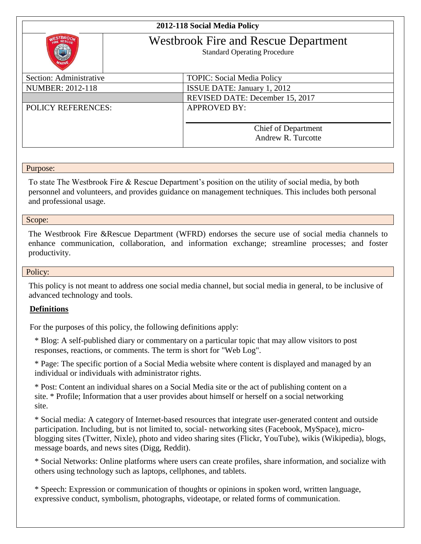## **2012-118 Social Media Policy**



# Westbrook Fire and Rescue Department

Standard Operating Procedure

| Section: Administrative   | <b>TOPIC: Social Media Policy</b>  |
|---------------------------|------------------------------------|
| NUMBER: 2012-118          | <b>ISSUE DATE: January 1, 2012</b> |
|                           | REVISED DATE: December 15, 2017    |
| <b>POLICY REFERENCES:</b> | <b>APPROVED BY:</b>                |
|                           |                                    |
|                           | <b>Chief of Department</b>         |
|                           | Andrew R. Turcotte                 |
|                           |                                    |

#### Purpose:

To state The Westbrook Fire & Rescue Department's position on the utility of social media, by both personnel and volunteers, and provides guidance on management techniques. This includes both personal and professional usage.

#### Scope:

The Westbrook Fire &Rescue Department (WFRD) endorses the secure use of social media channels to enhance communication, collaboration, and information exchange; streamline processes; and foster productivity.

#### Policy:

This policy is not meant to address one social media channel, but social media in general, to be inclusive of advanced technology and tools.

#### **Definitions**

For the purposes of this policy, the following definitions apply:

\* Blog: A self-published diary or commentary on a particular topic that may allow visitors to post responses, reactions, or comments. The term is short for "Web Log".

\* Page: The specific portion of a Social Media website where content is displayed and managed by an individual or individuals with administrator rights.

\* Post: Content an individual shares on a Social Media site or the act of publishing content on a site. \* Profile; Information that a user provides about himself or herself on a social networking site.

\* Social media: A category of Internet-based resources that integrate user-generated content and outside participation. Including, but is not limited to, social- networking sites (Facebook, MySpace), microblogging sites (Twitter, Nixle), photo and video sharing sites (Flickr, YouTube), wikis (Wikipedia), blogs, message boards, and news sites (Digg, Reddit).

\* Social Networks: Online platforms where users can create profiles, share information, and socialize with others using technology such as laptops, cellphones, and tablets.

\* Speech: Expression or communication of thoughts or opinions in spoken word, written language, expressive conduct, symbolism, photographs, videotape, or related forms of communication.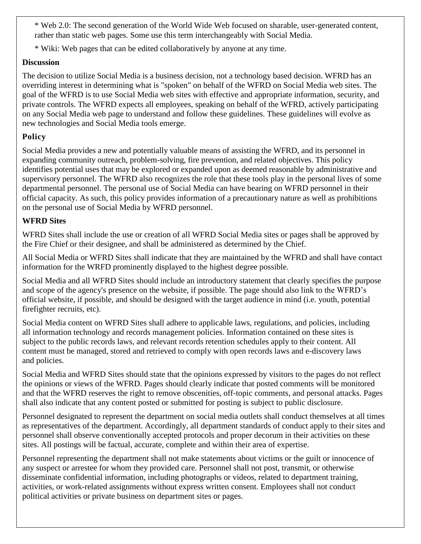\* Web 2.0: The second generation of the World Wide Web focused on sharable, user-generated content, rather than static web pages. Some use this term interchangeably with Social Media.

\* Wiki: Web pages that can be edited collaboratively by anyone at any time.

#### **Discussion**

The decision to utilize Social Media is a business decision, not a technology based decision. WFRD has an overriding interest in determining what is "spoken" on behalf of the WFRD on Social Media web sites. The goal of the WFRD is to use Social Media web sites with effective and appropriate information, security, and private controls. The WFRD expects all employees, speaking on behalf of the WFRD, actively participating on any Social Media web page to understand and follow these guidelines. These guidelines will evolve as new technologies and Social Media tools emerge.

### **Policy**

Social Media provides a new and potentially valuable means of assisting the WFRD, and its personnel in expanding community outreach, problem-solving, fire prevention, and related objectives. This policy identifies potential uses that may be explored or expanded upon as deemed reasonable by administrative and supervisory personnel. The WFRD also recognizes the role that these tools play in the personal lives of some departmental personnel. The personal use of Social Media can have bearing on WFRD personnel in their official capacity. As such, this policy provides information of a precautionary nature as well as prohibitions on the personal use of Social Media by WFRD personnel.

### **WFRD Sites**

WFRD Sites shall include the use or creation of all WFRD Social Media sites or pages shall be approved by the Fire Chief or their designee, and shall be administered as determined by the Chief.

All Social Media or WFRD Sites shall indicate that they are maintained by the WFRD and shall have contact information for the WRFD prominently displayed to the highest degree possible.

Social Media and all WFRD Sites should include an introductory statement that clearly specifies the purpose and scope of the agency's presence on the website, if possible. The page should also link to the WFRD's official website, if possible, and should be designed with the target audience in mind (i.e. youth, potential firefighter recruits, etc).

Social Media content on WFRD Sites shall adhere to applicable laws, regulations, and policies, including all information technology and records management policies. Information contained on these sites is subject to the public records laws, and relevant records retention schedules apply to their content. All content must be managed, stored and retrieved to comply with open records laws and e-discovery laws and policies.

Social Media and WFRD Sites should state that the opinions expressed by visitors to the pages do not reflect the opinions or views of the WFRD. Pages should clearly indicate that posted comments will be monitored and that the WFRD reserves the right to remove obscenities, off-topic comments, and personal attacks. Pages shall also indicate that any content posted or submitted for posting is subject to public disclosure.

Personnel designated to represent the department on social media outlets shall conduct themselves at all times as representatives of the department. Accordingly, all department standards of conduct apply to their sites and personnel shall observe conventionally accepted protocols and proper decorum in their activities on these sites. All postings will be factual, accurate, complete and within their area of expertise.

Personnel representing the department shall not make statements about victims or the guilt or innocence of any suspect or arrestee for whom they provided care. Personnel shall not post, transmit, or otherwise disseminate confidential information, including photographs or videos, related to department training, activities, or work-related assignments without express written consent. Employees shall not conduct political activities or private business on department sites or pages.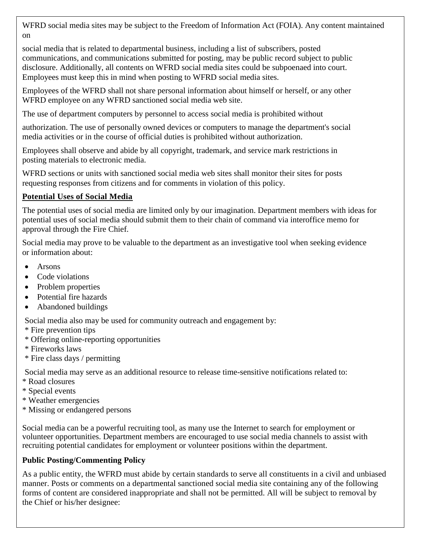WFRD social media sites may be subject to the Freedom of Information Act (FOIA). Any content maintained on

social media that is related to departmental business, including a list of subscribers, posted communications, and communications submitted for posting, may be public record subject to public disclosure. Additionally, all contents on WFRD social media sites could be subpoenaed into court. Employees must keep this in mind when posting to WFRD social media sites.

Employees of the WFRD shall not share personal information about himself or herself, or any other WFRD employee on any WFRD sanctioned social media web site.

The use of department computers by personnel to access social media is prohibited without

authorization. The use of personally owned devices or computers to manage the department's social media activities or in the course of official duties is prohibited without authorization.

Employees shall observe and abide by all copyright, trademark, and service mark restrictions in posting materials to electronic media.

WFRD sections or units with sanctioned social media web sites shall monitor their sites for posts requesting responses from citizens and for comments in violation of this policy.

### **Potential Uses of Social Media**

The potential uses of social media are limited only by our imagination. Department members with ideas for potential uses of social media should submit them to their chain of command via interoffice memo for approval through the Fire Chief.

Social media may prove to be valuable to the department as an investigative tool when seeking evidence or information about:

- Arsons
- Code violations
- Problem properties
- Potential fire hazards
- Abandoned buildings

Social media also may be used for community outreach and engagement by:

- \* Fire prevention tips
- \* Offering online-reporting opportunities
- \* Fireworks laws
- \* Fire class days / permitting

Social media may serve as an additional resource to release time-sensitive notifications related to:

- \* Road closures
- \* Special events
- \* Weather emergencies
- \* Missing or endangered persons

Social media can be a powerful recruiting tool, as many use the Internet to search for employment or volunteer opportunities. Department members are encouraged to use social media channels to assist with recruiting potential candidates for employment or volunteer positions within the department.

## **Public Posting/Commenting Policy**

As a public entity, the WFRD must abide by certain standards to serve all constituents in a civil and unbiased manner. Posts or comments on a departmental sanctioned social media site containing any of the following forms of content are considered inappropriate and shall not be permitted. All will be subject to removal by the Chief or his/her designee: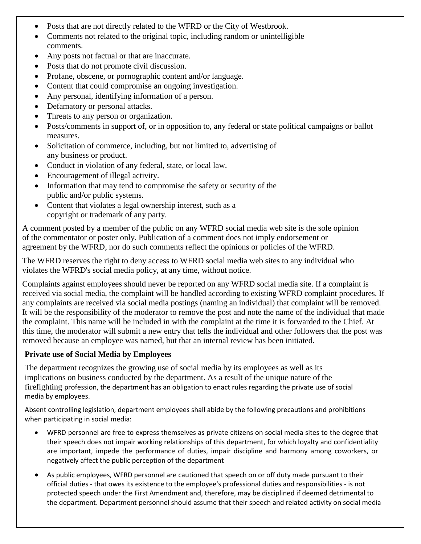- Posts that are not directly related to the WFRD or the City of Westbrook.
- Comments not related to the original topic, including random or unintelligible comments.
- Any posts not factual or that are inaccurate.
- Posts that do not promote civil discussion.
- Profane, obscene, or pornographic content and/or language.
- Content that could compromise an ongoing investigation.
- Any personal, identifying information of a person.
- Defamatory or personal attacks.
- Threats to any person or organization.
- Posts/comments in support of, or in opposition to, any federal or state political campaigns or ballot measures.
- Solicitation of commerce, including, but not limited to, advertising of any business or product.
- Conduct in violation of any federal, state, or local law.
- Encouragement of illegal activity.
- Information that may tend to compromise the safety or security of the public and/or public systems.
- Content that violates a legal ownership interest, such as a copyright or trademark of any party.

A comment posted by a member of the public on any WFRD social media web site is the sole opinion of the commentator or poster only. Publication of a comment does not imply endorsement or agreement by the WFRD, nor do such comments reflect the opinions or policies of the WFRD.

The WFRD reserves the right to deny access to WFRD social media web sites to any individual who violates the WFRD's social media policy, at any time, without notice.

Complaints against employees should never be reported on any WFRD social media site. If a complaint is received via social media, the complaint will be handled according to existing WFRD complaint procedures. If any complaints are received via social media postings (naming an individual) that complaint will be removed. It will be the responsibility of the moderator to remove the post and note the name of the individual that made the complaint. This name will be included in with the complaint at the time it is forwarded to the Chief. At this time, the moderator will submit a new entry that tells the individual and other followers that the post was removed because an employee was named, but that an internal review has been initiated.

#### **Private use of Social Media by Employees**

The department recognizes the growing use of social media by its employees as well as its implications on business conducted by the department. As a result of the unique nature of the firefighting profession, the department has an obligation to enact rules regarding the private use of social media by employees.

Absent controlling legislation, department employees shall abide by the following precautions and prohibitions when participating in social media:

- WFRD personnel are free to express themselves as private citizens on social media sites to the degree that their speech does not impair working relationships of this department, for which loyalty and confidentiality are important, impede the performance of duties, impair discipline and harmony among coworkers, or negatively affect the public perception of the department
- As public employees, WFRD personnel are cautioned that speech on or off duty made pursuant to their official duties - that owes its existence to the employee's professional duties and responsibilities - is not protected speech under the First Amendment and, therefore, may be disciplined if deemed detrimental to the department. Department personnel should assume that their speech and related activity on social media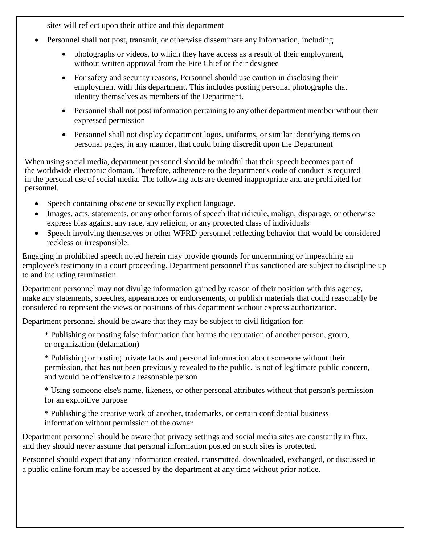sites will reflect upon their office and this department

- Personnel shall not post, transmit, or otherwise disseminate any information, including
	- photographs or videos, to which they have access as a result of their employment, without written approval from the Fire Chief or their designee
	- For safety and security reasons, Personnel should use caution in disclosing their employment with this department. This includes posting personal photographs that identity themselves as members of the Department.
	- Personnel shall not post information pertaining to any other department member without their expressed permission
	- Personnel shall not display department logos, uniforms, or similar identifying items on personal pages, in any manner, that could bring discredit upon the Department

When using social media, department personnel should be mindful that their speech becomes part of the worldwide electronic domain. Therefore, adherence to the department's code of conduct is required in the personal use of social media. The following acts are deemed inappropriate and are prohibited for personnel.

- Speech containing obscene or sexually explicit language.
- Images, acts, statements, or any other forms of speech that ridicule, malign, disparage, or otherwise express bias against any race, any religion, or any protected class of individuals
- Speech involving themselves or other WFRD personnel reflecting behavior that would be considered reckless or irresponsible.

Engaging in prohibited speech noted herein may provide grounds for undermining or impeaching an employee's testimony in a court proceeding. Department personnel thus sanctioned are subject to discipline up to and including termination.

Department personnel may not divulge information gained by reason of their position with this agency, make any statements, speeches, appearances or endorsements, or publish materials that could reasonably be considered to represent the views or positions of this department without express authorization.

Department personnel should be aware that they may be subject to civil litigation for:

\* Publishing or posting false information that harms the reputation of another person, group, or organization (defamation)

\* Publishing or posting private facts and personal information about someone without their permission, that has not been previously revealed to the public, is not of legitimate public concern, and would be offensive to a reasonable person

\* Using someone else's name, likeness, or other personal attributes without that person's permission for an exploitive purpose

\* Publishing the creative work of another, trademarks, or certain confidential business information without permission of the owner

Department personnel should be aware that privacy settings and social media sites are constantly in flux, and they should never assume that personal information posted on such sites is protected.

Personnel should expect that any information created, transmitted, downloaded, exchanged, or discussed in a public online forum may be accessed by the department at any time without prior notice.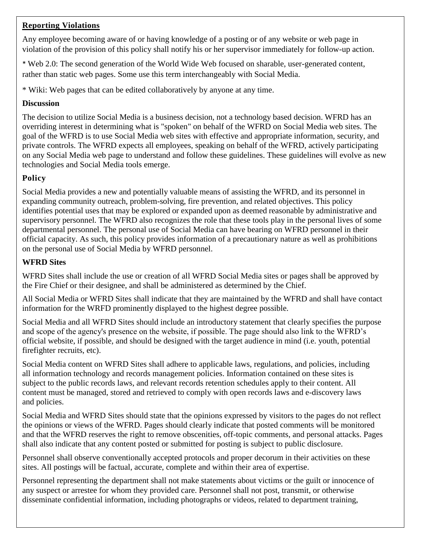## **Reporting Violations**

Any employee becoming aware of or having knowledge of a posting or of any website or web page in violation of the provision of this policy shall notify his or her supervisor immediately for follow-up action.

\* Web 2.0: The second generation of the World Wide Web focused on sharable, user-generated content, rather than static web pages. Some use this term interchangeably with Social Media.

\* Wiki: Web pages that can be edited collaboratively by anyone at any time.

#### **Discussion**

The decision to utilize Social Media is a business decision, not a technology based decision. WFRD has an overriding interest in determining what is "spoken" on behalf of the WFRD on Social Media web sites. The goal of the WFRD is to use Social Media web sites with effective and appropriate information, security, and private controls. The WFRD expects all employees, speaking on behalf of the WFRD, actively participating on any Social Media web page to understand and follow these guidelines. These guidelines will evolve as new technologies and Social Media tools emerge.

## **Policy**

Social Media provides a new and potentially valuable means of assisting the WFRD, and its personnel in expanding community outreach, problem-solving, fire prevention, and related objectives. This policy identifies potential uses that may be explored or expanded upon as deemed reasonable by administrative and supervisory personnel. The WFRD also recognizes the role that these tools play in the personal lives of some departmental personnel. The personal use of Social Media can have bearing on WFRD personnel in their official capacity. As such, this policy provides information of a precautionary nature as well as prohibitions on the personal use of Social Media by WFRD personnel.

#### **WFRD Sites**

WFRD Sites shall include the use or creation of all WFRD Social Media sites or pages shall be approved by the Fire Chief or their designee, and shall be administered as determined by the Chief.

All Social Media or WFRD Sites shall indicate that they are maintained by the WFRD and shall have contact information for the WRFD prominently displayed to the highest degree possible.

Social Media and all WFRD Sites should include an introductory statement that clearly specifies the purpose and scope of the agency's presence on the website, if possible. The page should also link to the WFRD's official website, if possible, and should be designed with the target audience in mind (i.e. youth, potential firefighter recruits, etc).

Social Media content on WFRD Sites shall adhere to applicable laws, regulations, and policies, including all information technology and records management policies. Information contained on these sites is subject to the public records laws, and relevant records retention schedules apply to their content. All content must be managed, stored and retrieved to comply with open records laws and e-discovery laws and policies.

Social Media and WFRD Sites should state that the opinions expressed by visitors to the pages do not reflect the opinions or views of the WFRD. Pages should clearly indicate that posted comments will be monitored and that the WFRD reserves the right to remove obscenities, off-topic comments, and personal attacks. Pages shall also indicate that any content posted or submitted for posting is subject to public disclosure.

Personnel shall observe conventionally accepted protocols and proper decorum in their activities on these sites. All postings will be factual, accurate, complete and within their area of expertise.

Personnel representing the department shall not make statements about victims or the guilt or innocence of any suspect or arrestee for whom they provided care. Personnel shall not post, transmit, or otherwise disseminate confidential information, including photographs or videos, related to department training,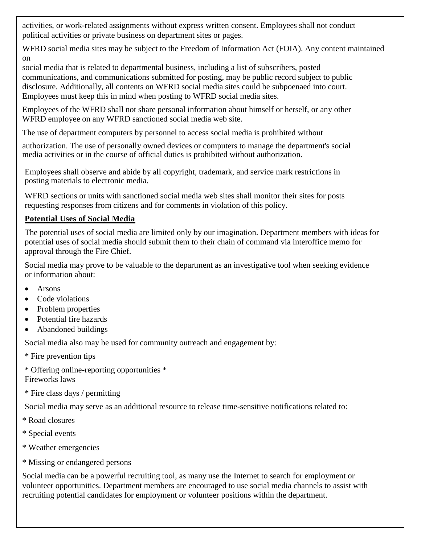activities, or work-related assignments without express written consent. Employees shall not conduct political activities or private business on department sites or pages.

WFRD social media sites may be subject to the Freedom of Information Act (FOIA). Any content maintained on

social media that is related to departmental business, including a list of subscribers, posted communications, and communications submitted for posting, may be public record subject to public disclosure. Additionally, all contents on WFRD social media sites could be subpoenaed into court. Employees must keep this in mind when posting to WFRD social media sites.

Employees of the WFRD shall not share personal information about himself or herself, or any other WFRD employee on any WFRD sanctioned social media web site.

The use of department computers by personnel to access social media is prohibited without

authorization. The use of personally owned devices or computers to manage the department's social media activities or in the course of official duties is prohibited without authorization.

Employees shall observe and abide by all copyright, trademark, and service mark restrictions in posting materials to electronic media.

WFRD sections or units with sanctioned social media web sites shall monitor their sites for posts requesting responses from citizens and for comments in violation of this policy.

## **Potential Uses of Social Media**

The potential uses of social media are limited only by our imagination. Department members with ideas for potential uses of social media should submit them to their chain of command via interoffice memo for approval through the Fire Chief.

Social media may prove to be valuable to the department as an investigative tool when seeking evidence or information about:

- Arsons
- Code violations
- Problem properties
- Potential fire hazards
- Abandoned buildings

Social media also may be used for community outreach and engagement by:

\* Fire prevention tips

\* Offering online-reporting opportunities \* Fireworks laws

\* Fire class days / permitting

Social media may serve as an additional resource to release time-sensitive notifications related to:

- \* Road closures
- \* Special events
- \* Weather emergencies
- \* Missing or endangered persons

Social media can be a powerful recruiting tool, as many use the Internet to search for employment or volunteer opportunities. Department members are encouraged to use social media channels to assist with recruiting potential candidates for employment or volunteer positions within the department.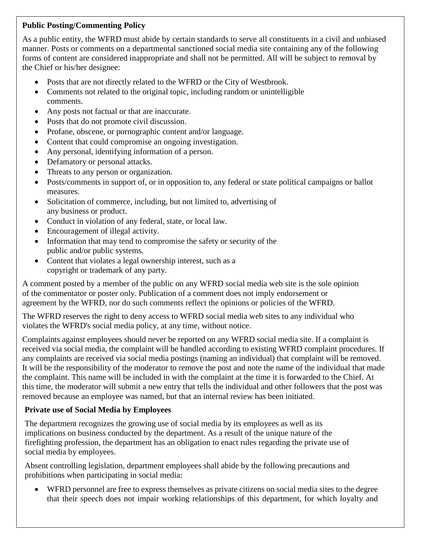## **Public Posting/Commenting Policy**

As a public entity, the WFRD must abide by certain standards to serve all constituents in a civil and unbiased manner. Posts or comments on a departmental sanctioned social media site containing any of the following forms of content are considered inappropriate and shall not be permitted. All will be subject to removal by the Chief or his/her designee:

- Posts that are not directly related to the WFRD or the City of Westbrook.
- Comments not related to the original topic, including random or unintelligible comments.
- Any posts not factual or that are inaccurate.
- Posts that do not promote civil discussion.
- Profane, obscene, or pornographic content and/or language.
- Content that could compromise an ongoing investigation.
- Any personal, identifying information of a person.
- Defamatory or personal attacks.
- Threats to any person or organization.
- Posts/comments in support of, or in opposition to, any federal or state political campaigns or ballot measures.
- Solicitation of commerce, including, but not limited to, advertising of any business or product.
- Conduct in violation of any federal, state, or local law.
- Encouragement of illegal activity.
- Information that may tend to compromise the safety or security of the public and/or public systems.
- Content that violates a legal ownership interest, such as a copyright or trademark of any party.

A comment posted by a member of the public on any WFRD social media web site is the sole opinion of the commentator or poster only. Publication of a comment does not imply endorsement or agreement by the WFRD, nor do such comments reflect the opinions or policies of the WFRD.

The WFRD reserves the right to deny access to WFRD social media web sites to any individual who violates the WFRD's social media policy, at any time, without notice.

Complaints against employees should never be reported on any WFRD social media site. If a complaint is received via social media, the complaint will be handled according to existing WFRD complaint procedures. If any complaints are received via social media postings (naming an individual) that complaint will be removed. It will be the responsibility of the moderator to remove the post and note the name of the individual that made the complaint. This name will be included in with the complaint at the time it is forwarded to the Chief. At this time, the moderator will submit a new entry that tells the individual and other followers that the post was removed because an employee was named, but that an internal review has been initiated.

### **Private use of Social Media by Employees**

The department recognizes the growing use of social media by its employees as well as its implications on business conducted by the department. As a result of the unique nature of the firefighting profession, the department has an obligation to enact rules regarding the private use of social media by employees.

Absent controlling legislation, department employees shall abide by the following precautions and prohibitions when participating in social media:

• WFRD personnel are free to express themselves as private citizens on social media sites to the degree that their speech does not impair working relationships of this department, for which loyalty and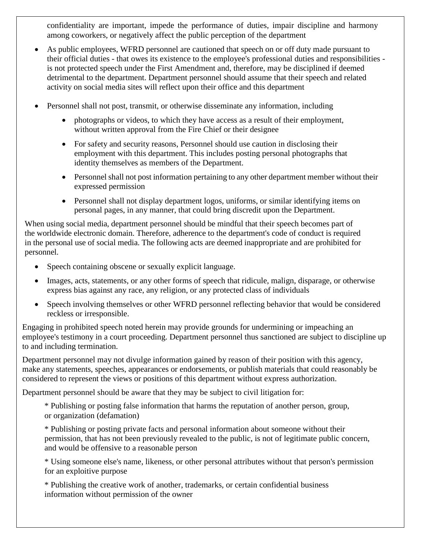confidentiality are important, impede the performance of duties, impair discipline and harmony among coworkers, or negatively affect the public perception of the department

- As public employees, WFRD personnel are cautioned that speech on or off duty made pursuant to their official duties - that owes its existence to the employee's professional duties and responsibilities is not protected speech under the First Amendment and, therefore, may be disciplined if deemed detrimental to the department. Department personnel should assume that their speech and related activity on social media sites will reflect upon their office and this department
- Personnel shall not post, transmit, or otherwise disseminate any information, including
	- photographs or videos, to which they have access as a result of their employment, without written approval from the Fire Chief or their designee
	- For safety and security reasons, Personnel should use caution in disclosing their employment with this department. This includes posting personal photographs that identity themselves as members of the Department.
	- Personnel shall not post information pertaining to any other department member without their expressed permission
	- Personnel shall not display department logos, uniforms, or similar identifying items on personal pages, in any manner, that could bring discredit upon the Department.

When using social media, department personnel should be mindful that their speech becomes part of the worldwide electronic domain. Therefore, adherence to the department's code of conduct is required in the personal use of social media. The following acts are deemed inappropriate and are prohibited for personnel.

- Speech containing obscene or sexually explicit language.
- Images, acts, statements, or any other forms of speech that ridicule, malign, disparage, or otherwise express bias against any race, any religion, or any protected class of individuals
- Speech involving themselves or other WFRD personnel reflecting behavior that would be considered reckless or irresponsible.

Engaging in prohibited speech noted herein may provide grounds for undermining or impeaching an employee's testimony in a court proceeding. Department personnel thus sanctioned are subject to discipline up to and including termination.

Department personnel may not divulge information gained by reason of their position with this agency, make any statements, speeches, appearances or endorsements, or publish materials that could reasonably be considered to represent the views or positions of this department without express authorization.

Department personnel should be aware that they may be subject to civil litigation for:

\* Publishing or posting false information that harms the reputation of another person, group, or organization (defamation)

\* Publishing or posting private facts and personal information about someone without their permission, that has not been previously revealed to the public, is not of legitimate public concern, and would be offensive to a reasonable person

\* Using someone else's name, likeness, or other personal attributes without that person's permission for an exploitive purpose

\* Publishing the creative work of another, trademarks, or certain confidential business information without permission of the owner